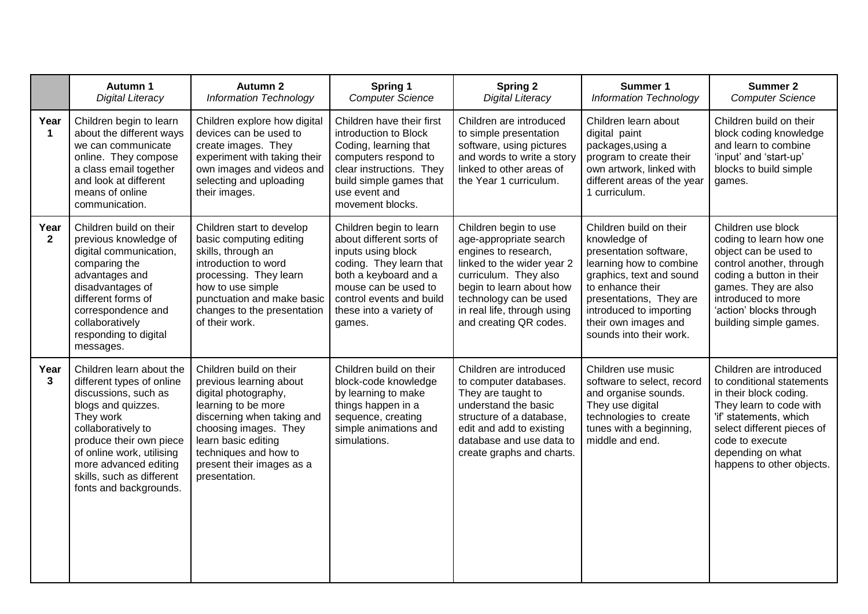|                      | Autumn 1<br>Digital Literacy                                                                                                                                                                                                                                                   | <b>Autumn 2</b><br><b>Information Technology</b>                                                                                                                                                                                                       | Spring 1<br><b>Computer Science</b>                                                                                                                                                                                    | <b>Spring 2</b><br>Digital Literacy                                                                                                                                                                                                           | Summer 1<br><b>Information Technology</b>                                                                                                                                                                                                             | <b>Summer 2</b><br><b>Computer Science</b>                                                                                                                                                                                             |
|----------------------|--------------------------------------------------------------------------------------------------------------------------------------------------------------------------------------------------------------------------------------------------------------------------------|--------------------------------------------------------------------------------------------------------------------------------------------------------------------------------------------------------------------------------------------------------|------------------------------------------------------------------------------------------------------------------------------------------------------------------------------------------------------------------------|-----------------------------------------------------------------------------------------------------------------------------------------------------------------------------------------------------------------------------------------------|-------------------------------------------------------------------------------------------------------------------------------------------------------------------------------------------------------------------------------------------------------|----------------------------------------------------------------------------------------------------------------------------------------------------------------------------------------------------------------------------------------|
| Year<br>$\mathbf 1$  | Children begin to learn<br>about the different ways<br>we can communicate<br>online. They compose<br>a class email together<br>and look at different<br>means of online<br>communication.                                                                                      | Children explore how digital<br>devices can be used to<br>create images. They<br>experiment with taking their<br>own images and videos and<br>selecting and uploading<br>their images.                                                                 | Children have their first<br>introduction to Block<br>Coding, learning that<br>computers respond to<br>clear instructions. They<br>build simple games that<br>use event and<br>movement blocks.                        | Children are introduced<br>to simple presentation<br>software, using pictures<br>and words to write a story<br>linked to other areas of<br>the Year 1 curriculum.                                                                             | Children learn about<br>digital paint<br>packages, using a<br>program to create their<br>own artwork, linked with<br>different areas of the year<br>1 curriculum.                                                                                     | Children build on their<br>block coding knowledge<br>and learn to combine<br>'input' and 'start-up'<br>blocks to build simple<br>games.                                                                                                |
| Year<br>$\mathbf{2}$ | Children build on their<br>previous knowledge of<br>digital communication,<br>comparing the<br>advantages and<br>disadvantages of<br>different forms of<br>correspondence and<br>collaboratively<br>responding to digital<br>messages.                                         | Children start to develop<br>basic computing editing<br>skills, through an<br>introduction to word<br>processing. They learn<br>how to use simple<br>punctuation and make basic<br>changes to the presentation<br>of their work.                       | Children begin to learn<br>about different sorts of<br>inputs using block<br>coding. They learn that<br>both a keyboard and a<br>mouse can be used to<br>control events and build<br>these into a variety of<br>games. | Children begin to use<br>age-appropriate search<br>engines to research,<br>linked to the wider year 2<br>curriculum. They also<br>begin to learn about how<br>technology can be used<br>in real life, through using<br>and creating QR codes. | Children build on their<br>knowledge of<br>presentation software,<br>learning how to combine<br>graphics, text and sound<br>to enhance their<br>presentations, They are<br>introduced to importing<br>their own images and<br>sounds into their work. | Children use block<br>coding to learn how one<br>object can be used to<br>control another, through<br>coding a button in their<br>games. They are also<br>introduced to more<br>'action' blocks through<br>building simple games.      |
| Year<br>3            | Children learn about the<br>different types of online<br>discussions, such as<br>blogs and quizzes.<br>They work<br>collaboratively to<br>produce their own piece<br>of online work, utilising<br>more advanced editing<br>skills, such as different<br>fonts and backgrounds. | Children build on their<br>previous learning about<br>digital photography,<br>learning to be more<br>discerning when taking and<br>choosing images. They<br>learn basic editing<br>techniques and how to<br>present their images as a<br>presentation. | Children build on their<br>block-code knowledge<br>by learning to make<br>things happen in a<br>sequence, creating<br>simple animations and<br>simulations.                                                            | Children are introduced<br>to computer databases.<br>They are taught to<br>understand the basic<br>structure of a database,<br>edit and add to existing<br>database and use data to<br>create graphs and charts.                              | Children use music<br>software to select, record<br>and organise sounds.<br>They use digital<br>technologies to create<br>tunes with a beginning,<br>middle and end.                                                                                  | Children are introduced<br>to conditional statements<br>in their block coding.<br>They learn to code with<br>'if' statements, which<br>select different pieces of<br>code to execute<br>depending on what<br>happens to other objects. |